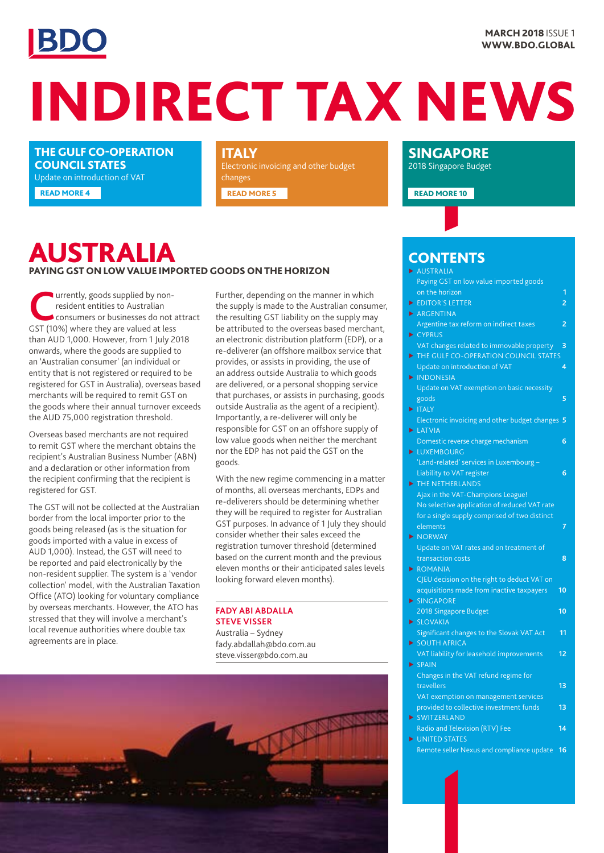

#### **MARCH 2018 ISSUE 1** [WWW.BDO.GLOBAL](http://www.bdo.global)

# INDIRECT TAX NEWS

[THE GULF CO-OPERATION](#page-3-0)  COUNCIL STATES Update on introduction of VAT

READ MORE 4

#### ITALY

[Electronic invoicing and other budget](#page-4-0)  changes

READ MORE 5

## AUSTRALIA PAYING GST ON LOW VALUE IMPORTED GOODS ON THE HORIZON

**Q**urrently, goods supplied by nonresident entities to Australian consumers or businesses do not attract GST (10%) where they are valued at less than AUD 1,000. However, from 1 July 2018 onwards, where the goods are supplied to an 'Australian consumer' (an individual or entity that is not registered or required to be registered for GST in Australia), overseas based merchants will be required to remit GST on the goods where their annual turnover exceeds the AUD 75,000 registration threshold.

Overseas based merchants are not required to remit GST where the merchant obtains the recipient's Australian Business Number (ABN) and a declaration or other information from the recipient confirming that the recipient is registered for GST.

The GST will not be collected at the Australian border from the local importer prior to the goods being released (as is the situation for goods imported with a value in excess of AUD 1,000). Instead, the GST will need to be reported and paid electronically by the non-resident supplier. The system is a 'vendor collection' model, with the Australian Taxation Office (ATO) looking for voluntary compliance by overseas merchants. However, the ATO has stressed that they will involve a merchant's local revenue authorities where double tax agreements are in place.

Further, depending on the manner in which the supply is made to the Australian consumer, the resulting GST liability on the supply may be attributed to the overseas based merchant, an electronic distribution platform (EDP), or a re-deliverer (an offshore mailbox service that provides, or assists in providing, the use of an address outside Australia to which goods are delivered, or a personal shopping service that purchases, or assists in purchasing, goods outside Australia as the agent of a recipient). Importantly, a re-deliverer will only be responsible for GST on an offshore supply of low value goods when neither the merchant nor the EDP has not paid the GST on the goods.

With the new regime commencing in a matter of months, all overseas merchants, EDPs and re-deliverers should be determining whether they will be required to register for Australian GST purposes. In advance of 1 July they should consider whether their sales exceed the registration turnover threshold (determined based on the current month and the previous eleven months or their anticipated sales levels looking forward eleven months).

#### **FADY ABI ABDALLA STEVE VISSER**

Australia – Sydney fady.abdallah@bdo.com.au steve.visser@bdo.com.au



#### [SINGAPORE](#page-9-0)

2018 Singapore Budget

#### READ MORE 10

### **CONTENTS**

| AUSTRALIA                                     |                |
|-----------------------------------------------|----------------|
| Paying GST on low value imported goods        |                |
| on the horizon                                | 1              |
| EDITOR'S LETTER                               | $\overline{z}$ |
| ARGENTINA                                     |                |
| Argentine tax reform on indirect taxes        | $\overline{2}$ |
| CYPRUS                                        |                |
| VAT changes related to immovable property     | 3              |
| THE GULF CO-OPERATION COUNCIL STATES          |                |
|                                               |                |
| Update on introduction of VAT                 | 4              |
| MDONESIA                                      |                |
| Update on VAT exemption on basic necessity    |                |
| goods                                         | 5              |
| $\blacktriangleright$ ITALY                   |                |
| Electronic invoicing and other budget changes | Έ              |
| LATVIA                                        |                |
| Domestic reverse charge mechanism             | 6              |
| LUXEMBOURG                                    |                |
| 'Land-related' services in Luxembourg -       |                |
| Liability to VAT register                     | 6              |
| THE NETHERLANDS                               |                |
| Ajax in the VAT-Champions League!             |                |
| No selective application of reduced VAT rate  |                |
| for a single supply comprised of two distinct |                |
| elements                                      | $\overline{7}$ |
| NORWAY                                        |                |
| Update on VAT rates and on treatment of       |                |
| transaction costs                             | 8              |
|                                               |                |
| $\triangleright$ ROMANIA                      |                |
| CJEU decision on the right to deduct VAT on   |                |
| acquisitions made from inactive taxpayers     | 10             |
| SINGAPORE                                     |                |
| 2018 Singapore Budget                         | 10             |
| SLOVAKIA                                      |                |
| Significant changes to the Slovak VAT Act     | 11             |
| SOUTH AFRICA                                  |                |
| VAT liability for leasehold improvements      | 12             |
| $\overline{\triangleright}$ SPAIN             |                |
| Changes in the VAT refund regime for          |                |
| travellers                                    | 1 <sub>3</sub> |
| VAT exemption on management services          |                |
| provided to collective investment funds       | 1 <sub>3</sub> |
| SWITZERLAND                                   |                |
| Radio and Television (RTV) Fee                | 14             |
| UNITED STATES                                 |                |
| Remote seller Nexus and compliance update     | 16             |
|                                               |                |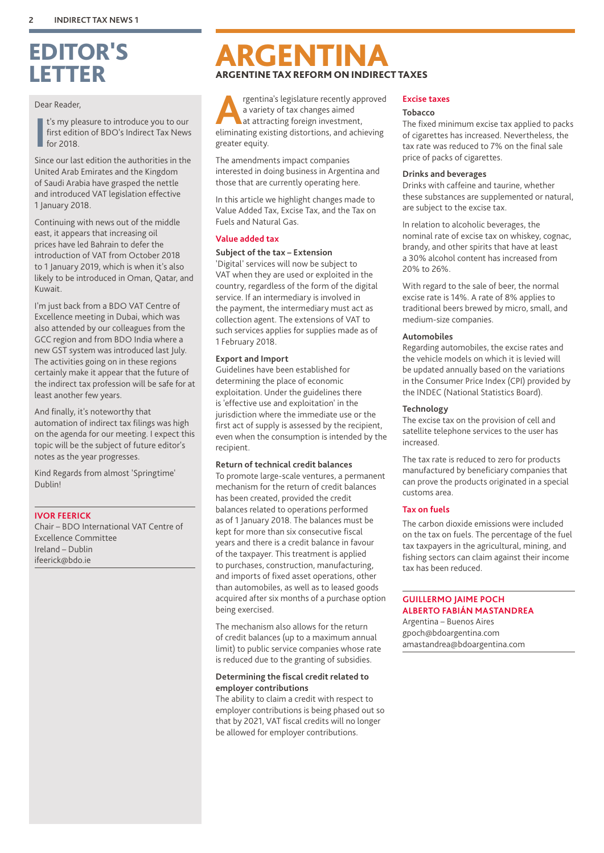# <span id="page-1-0"></span>EDITOR'S

Dear Reader,

I<sup>t's</sup> my ple<br>
first editi<br>
for 2018. t's my pleasure to introduce you to our first edition of BDO's Indirect Tax News

Since our last edition the authorities in the United Arab Emirates and the Kingdom of Saudi Arabia have grasped the nettle and introduced VAT legislation effective 1 January 2018.

Continuing with news out of the middle east, it appears that increasing oil prices have led Bahrain to defer the introduction of VAT from October 2018 to 1 January 2019, which is when it's also likely to be introduced in Oman, Qatar, and Kuwait.

I'm just back from a BDO VAT Centre of Excellence meeting in Dubai, which was also attended by our colleagues from the GCC region and from BDO India where a new GST system was introduced last July. The activities going on in these regions certainly make it appear that the future of the indirect tax profession will be safe for at least another few years.

And finally, it's noteworthy that automation of indirect tax filings was high on the agenda for our meeting. I expect this topic will be the subject of future editor's notes as the year progresses.

Kind Regards from almost 'Springtime' Dublin!

#### **IVOR FEERICK**

Chair – BDO International VAT Centre of Excellence Committee Ireland – Dublin ifeerick@bdo.ie

## EDITOR'S ARGENTINA<br>LETTER ARGENTINE TAX REFORM ON INDIR ARGENTINE TAX REFORM ON INDIRECT TAXES

**A**rgentina's legislature recently approved a variety of tax changes aimed at attracting foreign investment, eliminating existing distortions, and achieving greater equity.

The amendments impact companies interested in doing business in Argentina and those that are currently operating here.

In this article we highlight changes made to Value Added Tax, Excise Tax, and the Tax on Fuels and Natural Gas.

#### **Value added tax**

#### **Subject of the tax – Extension**

'Digital' services will now be subject to VAT when they are used or exploited in the country, regardless of the form of the digital service. If an intermediary is involved in the payment, the intermediary must act as collection agent. The extensions of VAT to such services applies for supplies made as of 1 February 2018.

#### **Export and Import**

Guidelines have been established for determining the place of economic exploitation. Under the guidelines there is 'effective use and exploitation' in the jurisdiction where the immediate use or the first act of supply is assessed by the recipient, even when the consumption is intended by the recipient.

#### **Return of technical credit balances**

To promote large-scale ventures, a permanent mechanism for the return of credit balances has been created, provided the credit balances related to operations performed as of 1 January 2018. The balances must be kept for more than six consecutive fiscal years and there is a credit balance in favour of the taxpayer. This treatment is applied to purchases, construction, manufacturing, and imports of fixed asset operations, other than automobiles, as well as to leased goods acquired after six months of a purchase option being exercised.

The mechanism also allows for the return of credit balances (up to a maximum annual limit) to public service companies whose rate is reduced due to the granting of subsidies.

#### **Determining the fiscal credit related to employer contributions**

The ability to claim a credit with respect to employer contributions is being phased out so that by 2021, VAT fiscal credits will no longer be allowed for employer contributions.

#### **Excise taxes**

#### **Tobacco**

The fixed minimum excise tax applied to packs of cigarettes has increased. Nevertheless, the tax rate was reduced to 7% on the final sale price of packs of cigarettes.

#### **Drinks and beverages**

Drinks with caffeine and taurine, whether these substances are supplemented or natural, are subject to the excise tax.

In relation to alcoholic beverages, the nominal rate of excise tax on whiskey, cognac, brandy, and other spirits that have at least a 30% alcohol content has increased from 20% to 26%.

With regard to the sale of beer, the normal excise rate is 14%. A rate of 8% applies to traditional beers brewed by micro, small, and medium-size companies.

#### **Automobiles**

Regarding automobiles, the excise rates and the vehicle models on which it is levied will be updated annually based on the variations in the Consumer Price Index (CPI) provided by the INDEC (National Statistics Board).

#### **Technology**

The excise tax on the provision of cell and satellite telephone services to the user has increased.

The tax rate is reduced to zero for products manufactured by beneficiary companies that can prove the products originated in a special customs area.

#### **Tax on fuels**

The carbon dioxide emissions were included on the tax on fuels. The percentage of the fuel tax taxpayers in the agricultural, mining, and fishing sectors can claim against their income tax has been reduced.

#### **GUILLERMO JAIME POCH ALBERTO FABIÁN MASTANDREA**

Argentina – Buenos Aires gpoch@bdoargentina.com amastandrea@bdoargentina.com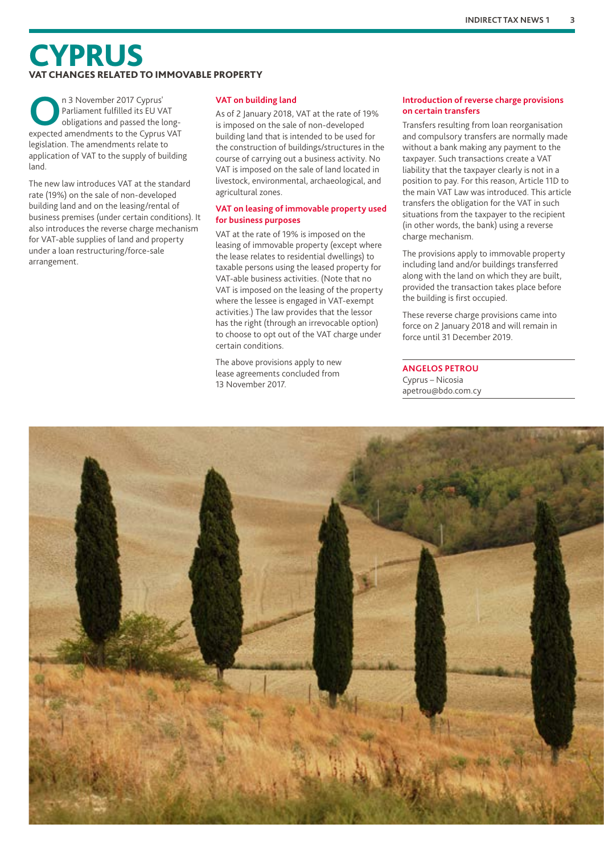## <span id="page-2-0"></span>**CYPRUS** VAT CHANGES RELATED TO IMMOVABLE PROPERTY

**O**n 3 November 2017 Cyprus'<br>
Parliament fulfilled its EU VAT<br>
obligations and passed the long-<br>
NAT Parliament fulfilled its EU VAT expected amendments to the Cyprus VAT legislation. The amendments relate to application of VAT to the supply of building land.

The new law introduces VAT at the standard rate (19%) on the sale of non-developed building land and on the leasing/rental of business premises (under certain conditions). It also introduces the reverse charge mechanism for VAT-able supplies of land and property under a loan restructuring/force-sale arrangement.

#### **VAT on building land**

As of 2 January 2018, VAT at the rate of 19% is imposed on the sale of non-developed building land that is intended to be used for the construction of buildings/structures in the course of carrying out a business activity. No VAT is imposed on the sale of land located in livestock, environmental, archaeological, and agricultural zones.

#### **VAT on leasing of immovable property used for business purposes**

VAT at the rate of 19% is imposed on the leasing of immovable property (except where the lease relates to residential dwellings) to taxable persons using the leased property for VAT-able business activities. (Note that no VAT is imposed on the leasing of the property where the lessee is engaged in VAT-exempt activities.) The law provides that the lessor has the right (through an irrevocable option) to choose to opt out of the VAT charge under certain conditions.

The above provisions apply to new lease agreements concluded from 13 November 2017.

#### **Introduction of reverse charge provisions on certain transfers**

Transfers resulting from loan reorganisation and compulsory transfers are normally made without a bank making any payment to the taxpayer. Such transactions create a VAT liability that the taxpayer clearly is not in a position to pay. For this reason, Article 11D to the main VAT Law was introduced. This article transfers the obligation for the VAT in such situations from the taxpayer to the recipient (in other words, the bank) using a reverse charge mechanism.

The provisions apply to immovable property including land and/or buildings transferred along with the land on which they are built, provided the transaction takes place before the building is first occupied.

These reverse charge provisions came into force on 2 January 2018 and will remain in force until 31 December 2019.

#### **ANGELOS PETROU**

Cyprus – Nicosia apetrou@bdo.com.cy

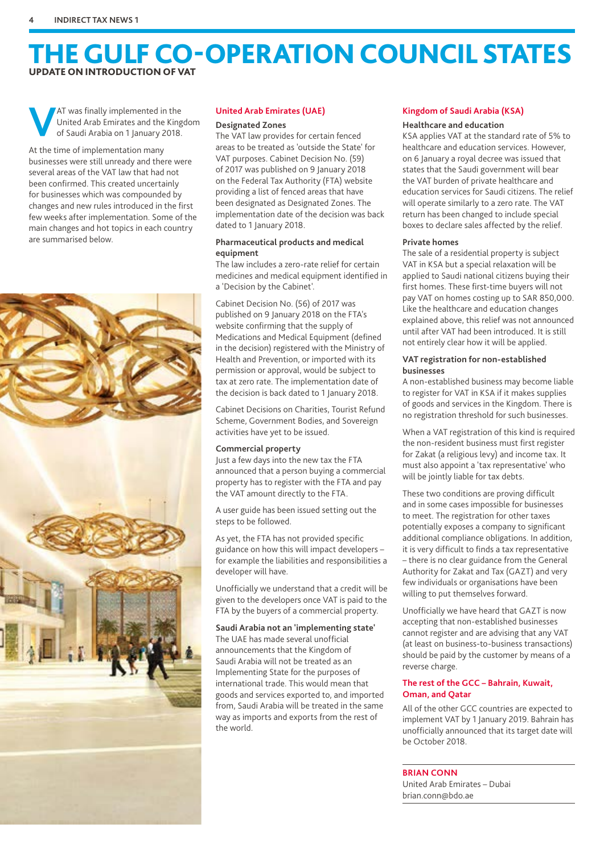## <span id="page-3-0"></span>THE GULF CO-OPERATION COUNCIL STATES UPDATE ON INTRODUCTION OF VAT

**V**AT was finally implemented in the United Arab Emirates and the King of Saudi Arabia on 1 January 2018. United Arab Emirates and the Kingdom

At the time of implementation many businesses were still unready and there were several areas of the VAT law that had not been confirmed. This created uncertainly for businesses which was compounded by changes and new rules introduced in the first few weeks after implementation. Some of the main changes and hot topics in each country are summarised below.



#### **United Arab Emirates (UAE)**

#### **Designated Zones**

The VAT law provides for certain fenced areas to be treated as 'outside the State' for VAT purposes. Cabinet Decision No. (59) of 2017 was published on 9 January 2018 on the Federal Tax Authority (FTA) website providing a list of fenced areas that have been designated as Designated Zones. The implementation date of the decision was back dated to 1 January 2018.

#### **Pharmaceutical products and medical equipment**

The law includes a zero-rate relief for certain medicines and medical equipment identified in a 'Decision by the Cabinet'.

Cabinet Decision No. (56) of 2017 was published on 9 January 2018 on the FTA's website confirming that the supply of Medications and Medical Equipment (defined in the decision) registered with the Ministry of Health and Prevention, or imported with its permission or approval, would be subject to tax at zero rate. The implementation date of the decision is back dated to 1 January 2018.

Cabinet Decisions on Charities, Tourist Refund Scheme, Government Bodies, and Sovereign activities have yet to be issued.

#### **Commercial property**

Just a few days into the new tax the FTA announced that a person buying a commercial property has to register with the FTA and pay the VAT amount directly to the FTA.

A user guide has been issued setting out the steps to be followed.

As yet, the FTA has not provided specific guidance on how this will impact developers – for example the liabilities and responsibilities a developer will have.

Unofficially we understand that a credit will be given to the developers once VAT is paid to the FTA by the buyers of a commercial property.

**Saudi Arabia not an 'implementing state'** The UAE has made several unofficial announcements that the Kingdom of Saudi Arabia will not be treated as an Implementing State for the purposes of international trade. This would mean that goods and services exported to, and imported from, Saudi Arabia will be treated in the same way as imports and exports from the rest of the world.

#### **Kingdom of Saudi Arabia (KSA)**

#### **Healthcare and education**

KSA applies VAT at the standard rate of 5% to healthcare and education services. However, on 6 January a royal decree was issued that states that the Saudi government will bear the VAT burden of private healthcare and education services for Saudi citizens. The relief will operate similarly to a zero rate. The VAT return has been changed to include special boxes to declare sales affected by the relief.

#### **Private homes**

The sale of a residential property is subject VAT in KSA but a special relaxation will be applied to Saudi national citizens buying their first homes. These first-time buyers will not pay VAT on homes costing up to SAR 850,000. Like the healthcare and education changes explained above, this relief was not announced until after VAT had been introduced. It is still not entirely clear how it will be applied.

#### **VAT registration for non-established businesses**

A non-established business may become liable to register for VAT in KSA if it makes supplies of goods and services in the Kingdom. There is no registration threshold for such businesses.

When a VAT registration of this kind is required the non-resident business must first register for Zakat (a religious levy) and income tax. It must also appoint a 'tax representative' who will be jointly liable for tax debts.

These two conditions are proving difficult and in some cases impossible for businesses to meet. The registration for other taxes potentially exposes a company to significant additional compliance obligations. In addition, it is very difficult to finds a tax representative – there is no clear guidance from the General Authority for Zakat and Tax (GAZT) and very few individuals or organisations have been willing to put themselves forward.

Unofficially we have heard that GAZT is now accepting that non-established businesses cannot register and are advising that any VAT (at least on business-to-business transactions) should be paid by the customer by means of a reverse charge.

#### **The rest of the GCC – Bahrain, Kuwait, Oman, and Qatar**

All of the other GCC countries are expected to implement VAT by 1 January 2019. Bahrain has unofficially announced that its target date will be October 2018.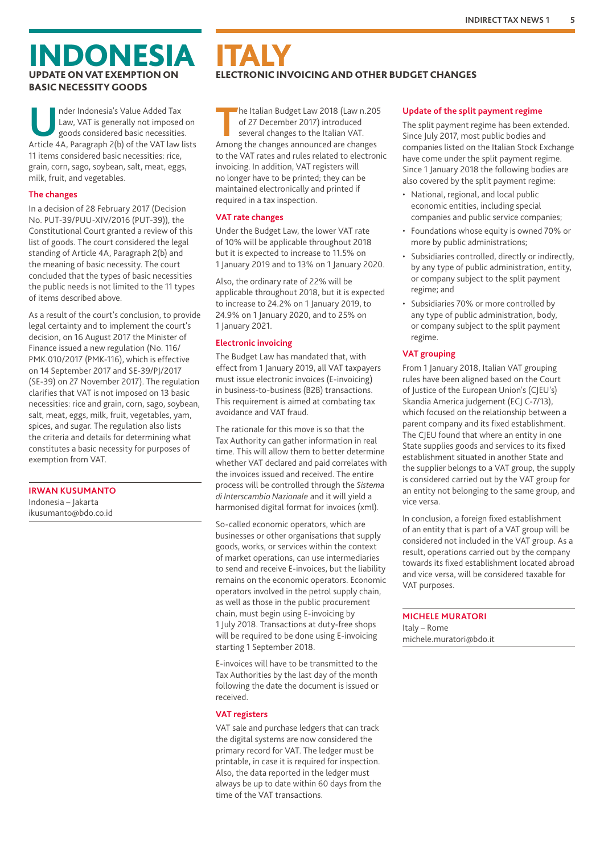## <span id="page-4-0"></span>INDONESIA UPDATE ON VAT EXEMPTION ON BASIC NECESSITY GOODS

Inder Indonesia's Value Added Tax<br>
Law, VAT is generally not imposed<br>
goods considered basic necessities Law, VAT is generally not imposed on goods considered basic necessities. Article 4A, Paragraph 2(b) of the VAT law lists 11 items considered basic necessities: rice, grain, corn, sago, soybean, salt, meat, eggs, milk, fruit, and vegetables.

#### **The changes**

In a decision of 28 February 2017 (Decision No. PUT-39/PUU-XIV/2016 (PUT-39)), the Constitutional Court granted a review of this list of goods. The court considered the legal standing of Article 4A, Paragraph 2(b) and the meaning of basic necessity. The court concluded that the types of basic necessities the public needs is not limited to the 11 types of items described above.

As a result of the court's conclusion, to provide legal certainty and to implement the court's decision, on 16 August 2017 the Minister of Finance issued a new regulation (No. 116/ PMK.010/2017 (PMK-116), which is effective on 14 September 2017 and SE-39/PJ/2017 (SE-39) on 27 November 2017). The regulation clarifies that VAT is not imposed on 13 basic necessities: rice and grain, corn, sago, soybean, salt, meat, eggs, milk, fruit, vegetables, yam, spices, and sugar. The regulation also lists the criteria and details for determining what constitutes a basic necessity for purposes of exemption from VAT.

**IRWAN KUSUMANTO** Indonesia – Jakarta ikusumanto@bdo.co.id

## ITALY ELECTRONIC INVOICING AND OTHER BUDGET CHANGES

**T**he Italian Budget Law 2018 (Law n.205 of 27 December 2017) introduced several changes to the Italian VAT. Among the changes announced are changes to the VAT rates and rules related to electronic invoicing. In addition, VAT registers will no longer have to be printed; they can be maintained electronically and printed if required in a tax inspection.

#### **VAT rate changes**

Under the Budget Law, the lower VAT rate of 10% will be applicable throughout 2018 but it is expected to increase to 11.5% on 1 January 2019 and to 13% on 1 January 2020.

Also, the ordinary rate of 22% will be applicable throughout 2018, but it is expected to increase to 24.2% on 1 January 2019, to 24.9% on 1 January 2020, and to 25% on 1 January 2021.

#### **Electronic invoicing**

The Budget Law has mandated that, with effect from 1 January 2019, all VAT taxpayers must issue electronic invoices (E-invoicing) in business-to-business (B2B) transactions. This requirement is aimed at combating tax avoidance and VAT fraud.

The rationale for this move is so that the Tax Authority can gather information in real time. This will allow them to better determine whether VAT declared and paid correlates with the invoices issued and received. The entire process will be controlled through the *Sistema di Interscambio Nazionale* and it will yield a harmonised digital format for invoices (xml).

So-called economic operators, which are businesses or other organisations that supply goods, works, or services within the context of market operations, can use intermediaries to send and receive E-invoices, but the liability remains on the economic operators. Economic operators involved in the petrol supply chain, as well as those in the public procurement chain, must begin using E-invoicing by 1 July 2018. Transactions at duty-free shops will be required to be done using E-invoicing starting 1 September 2018.

E-invoices will have to be transmitted to the Tax Authorities by the last day of the month following the date the document is issued or received.

#### **VAT registers**

VAT sale and purchase ledgers that can track the digital systems are now considered the primary record for VAT. The ledger must be printable, in case it is required for inspection. Also, the data reported in the ledger must always be up to date within 60 days from the time of the VAT transactions.

#### **Update of the split payment regime**

The split payment regime has been extended. Since July 2017, most public bodies and companies listed on the Italian Stock Exchange have come under the split payment regime. Since 1 January 2018 the following bodies are also covered by the split payment regime:

- National, regional, and local public economic entities, including special companies and public service companies;
- Foundations whose equity is owned 70% or more by public administrations;
- Subsidiaries controlled, directly or indirectly, by any type of public administration, entity, or company subject to the split payment regime; and
- Subsidiaries 70% or more controlled by any type of public administration, body, or company subject to the split payment regime.

#### **VAT grouping**

From 1 January 2018, Italian VAT grouping rules have been aligned based on the Court of Justice of the European Union's (CJEU's) Skandia America judgement (ECJ C-7/13), which focused on the relationship between a parent company and its fixed establishment. The CJEU found that where an entity in one State supplies goods and services to its fixed establishment situated in another State and the supplier belongs to a VAT group, the supply is considered carried out by the VAT group for an entity not belonging to the same group, and vice versa.

In conclusion, a foreign fixed establishment of an entity that is part of a VAT group will be considered not included in the VAT group. As a result, operations carried out by the company towards its fixed establishment located abroad and vice versa, will be considered taxable for VAT purposes.

#### **MICHELE MURATORI**

Italy – Rome michele.muratori@bdo.it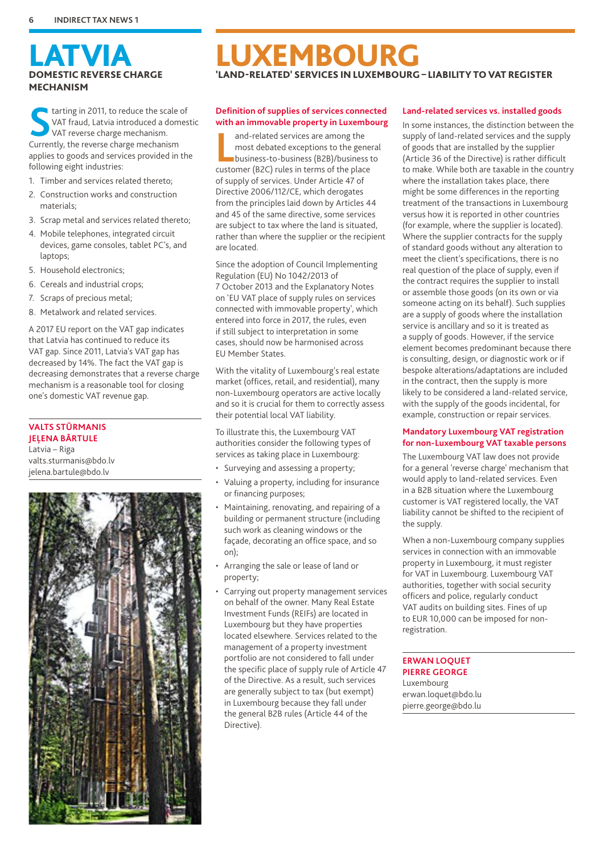### <span id="page-5-0"></span>LATVIA DOMESTIC REVERSE CHARGE MECHANISM

**Starting in 2011, to reduce the scale of<br>VAT fraud, Latvia introduced a domes<br>VAT reverse charge mechanism.<br>Currently, the reverse charge mechanism** VAT fraud, Latvia introduced a domestic VAT reverse charge mechanism. Currently, the reverse charge mechanism applies to goods and services provided in the following eight industries:

- 1. Timber and services related thereto;
- 2. Construction works and construction materials;
- 3. Scrap metal and services related thereto;
- 4. Mobile telephones, integrated circuit devices, game consoles, tablet PC's, and laptops;
- 5. Household electronics;
- 6. Cereals and industrial crops;
- 7. Scraps of precious metal;
- 8. Metalwork and related services.

A 2017 EU report on the VAT gap indicates that Latvia has continued to reduce its VAT gap. Since 2011, Latvia's VAT gap has decreased by 14%. The fact the VAT gap is decreasing demonstrates that a reverse charge mechanism is a reasonable tool for closing one's domestic VAT revenue gap.

#### **VALTS STŪRMANIS JEĻENA BĀRTULE**

Latvia – Riga valts.sturmanis@bdo.lv jelena.bartule@bdo.lv



## LUXEMBOURG 'LAND-RELATED' SERVICES IN LUXEMBOURG – LIABILITY TO VAT REGISTER

#### **Definition of supplies of services connected with an immovable property in Luxembourg**

and-related services are among the<br>
most debated exceptions to the gene<br>
business-to-business (B2B)/business t<br>
customer (B2C) rules in terms of the place and-related services are among the most debated exceptions to the general business-to-business (B2B)/business to of supply of services. Under Article 47 of Directive 2006/112/CE, which derogates from the principles laid down by Articles 44 and 45 of the same directive, some services are subject to tax where the land is situated, rather than where the supplier or the recipient are located.

Since the adoption of Council Implementing Regulation (EU) No 1042/2013 of 7 October 2013 and the Explanatory Notes on 'EU VAT place of supply rules on services connected with immovable property', which entered into force in 2017, the rules, even if still subject to interpretation in some cases, should now be harmonised across EU Member States.

With the vitality of Luxembourg's real estate market (offices, retail, and residential), many non-Luxembourg operators are active locally and so it is crucial for them to correctly assess their potential local VAT liability.

To illustrate this, the Luxembourg VAT authorities consider the following types of services as taking place in Luxembourg:

- Surveying and assessing a property;
- Valuing a property, including for insurance or financing purposes;
- Maintaining, renovating, and repairing of a building or permanent structure (including such work as cleaning windows or the façade, decorating an office space, and so on);
- Arranging the sale or lease of land or property;
- Carrying out property management services on behalf of the owner. Many Real Estate Investment Funds (REIFs) are located in Luxembourg but they have properties located elsewhere. Services related to the management of a property investment portfolio are not considered to fall under the specific place of supply rule of Article 47 of the Directive. As a result, such services are generally subject to tax (but exempt) in Luxembourg because they fall under the general B2B rules (Article 44 of the Directive).

#### **Land-related services vs. installed goods**

In some instances, the distinction between the supply of land-related services and the supply of goods that are installed by the supplier (Article 36 of the Directive) is rather difficult to make. While both are taxable in the country where the installation takes place, there might be some differences in the reporting treatment of the transactions in Luxembourg versus how it is reported in other countries (for example, where the supplier is located). Where the supplier contracts for the supply of standard goods without any alteration to meet the client's specifications, there is no real question of the place of supply, even if the contract requires the supplier to install or assemble those goods (on its own or via someone acting on its behalf). Such supplies are a supply of goods where the installation service is ancillary and so it is treated as a supply of goods. However, if the service element becomes predominant because there is consulting, design, or diagnostic work or if bespoke alterations/adaptations are included in the contract, then the supply is more likely to be considered a land-related service, with the supply of the goods incidental, for example, construction or repair services.

#### **Mandatory Luxembourg VAT registration for non-Luxembourg VAT taxable persons**

The Luxembourg VAT law does not provide for a general 'reverse charge' mechanism that would apply to land-related services. Even in a B2B situation where the Luxembourg customer is VAT registered locally, the VAT liability cannot be shifted to the recipient of the supply.

When a non-Luxembourg company supplies services in connection with an immovable property in Luxembourg, it must register for VAT in Luxembourg. Luxembourg VAT authorities, together with social security officers and police, regularly conduct VAT audits on building sites. Fines of up to EUR 10,000 can be imposed for nonregistration.

#### **ERWAN LOQUET PIERRE GEORGE** Luxembourg erwan.loquet@bdo.lu pierre.george@bdo.lu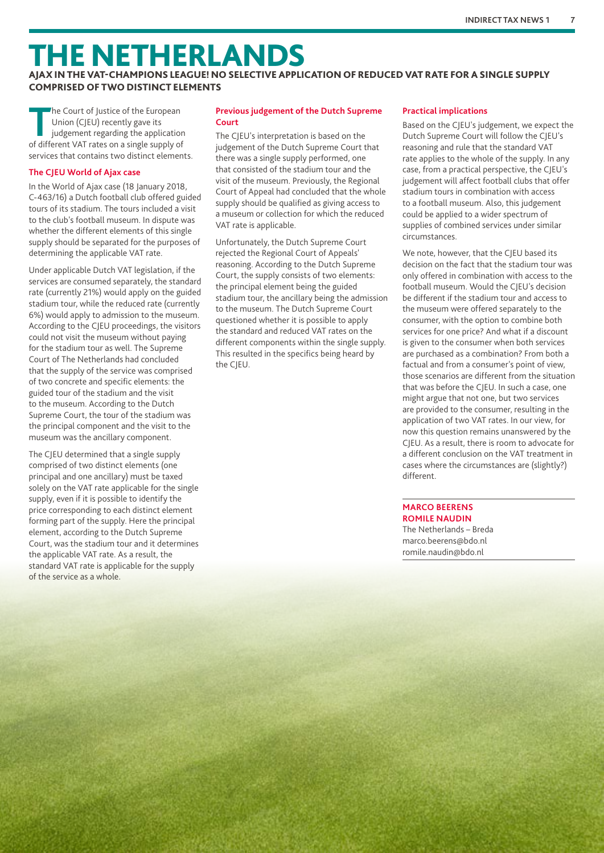## <span id="page-6-0"></span>THE NETHERLANDS

AJAX IN THE VAT-CHAMPIONS LEAGUE! NO SELECTIVE APPLICATION OF REDUCED VAT RATE FOR A SINGLE SUPPLY COMPRISED OF TWO DISTINCT ELEMENTS

The Court of Justice of the European<br>
Union (CJEU) recently gave its<br>
judgement regarding the application<br>
of different VAT rates on a single supply of Union (CJEU) recently gave its of different VAT rates on a single supply of services that contains two distinct elements.

#### **The CJEU World of Ajax case**

In the World of Ajax case (18 January 2018, C-463/16) a Dutch football club offered guided tours of its stadium. The tours included a visit to the club's football museum. In dispute was whether the different elements of this single supply should be separated for the purposes of determining the applicable VAT rate.

Under applicable Dutch VAT legislation, if the services are consumed separately, the standard rate (currently 21%) would apply on the guided stadium tour, while the reduced rate (currently 6%) would apply to admission to the museum. According to the CJEU proceedings, the visitors could not visit the museum without paying for the stadium tour as well. The Supreme Court of The Netherlands had concluded that the supply of the service was comprised of two concrete and specific elements: the guided tour of the stadium and the visit to the museum. According to the Dutch Supreme Court, the tour of the stadium was the principal component and the visit to the museum was the ancillary component.

The CJEU determined that a single supply comprised of two distinct elements (one principal and one ancillary) must be taxed solely on the VAT rate applicable for the single supply, even if it is possible to identify the price corresponding to each distinct element forming part of the supply. Here the principal element, according to the Dutch Supreme Court, was the stadium tour and it determines the applicable VAT rate. As a result, the standard VAT rate is applicable for the supply of the service as a whole.

#### **Previous judgement of the Dutch Supreme Court**

The CJEU's interpretation is based on the judgement of the Dutch Supreme Court that there was a single supply performed, one that consisted of the stadium tour and the visit of the museum. Previously, the Regional Court of Appeal had concluded that the whole supply should be qualified as giving access to a museum or collection for which the reduced VAT rate is applicable.

Unfortunately, the Dutch Supreme Court rejected the Regional Court of Appeals' reasoning. According to the Dutch Supreme Court, the supply consists of two elements: the principal element being the guided stadium tour, the ancillary being the admission to the museum. The Dutch Supreme Court questioned whether it is possible to apply the standard and reduced VAT rates on the different components within the single supply. This resulted in the specifics being heard by the CIEU.

#### **Practical implications**

Based on the CJEU's judgement, we expect the Dutch Supreme Court will follow the CJEU's reasoning and rule that the standard VAT rate applies to the whole of the supply. In any case, from a practical perspective, the CJEU's judgement will affect football clubs that offer stadium tours in combination with access to a football museum. Also, this judgement could be applied to a wider spectrum of supplies of combined services under similar circumstances.

We note, however, that the CIEU based its decision on the fact that the stadium tour was only offered in combination with access to the football museum. Would the CJEU's decision be different if the stadium tour and access to the museum were offered separately to the consumer, with the option to combine both services for one price? And what if a discount is given to the consumer when both services are purchased as a combination? From both a factual and from a consumer's point of view, those scenarios are different from the situation that was before the CJEU. In such a case, one might argue that not one, but two services are provided to the consumer, resulting in the application of two VAT rates. In our view, for now this question remains unanswered by the CJEU. As a result, there is room to advocate for a different conclusion on the VAT treatment in cases where the circumstances are (slightly?) different.

**MARCO BEERENS ROMILE NAUDIN** The Netherlands – Breda marco.beerens@bdo.nl romile.naudin@bdo.nl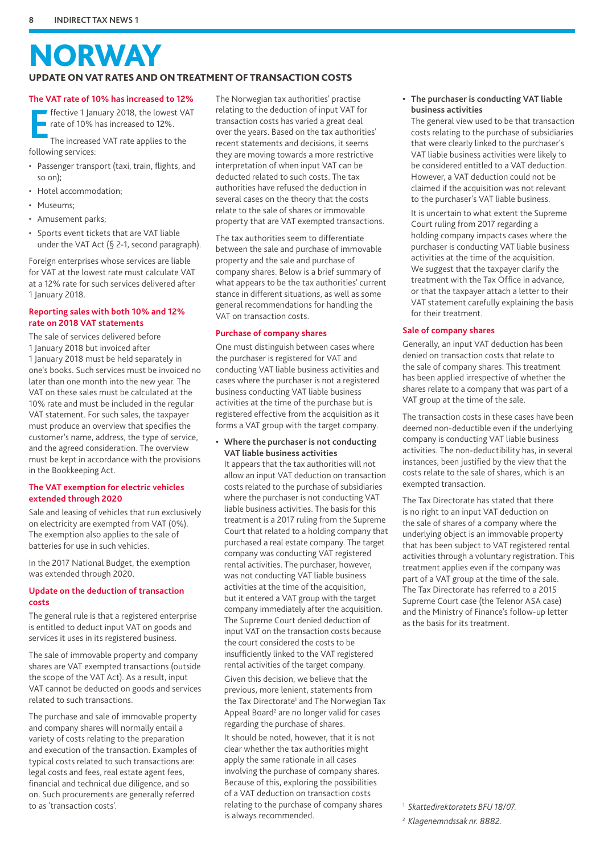## <span id="page-7-0"></span>**NORWAY**

#### UPDATE ON VAT RATES AND ON TREATMENT OF TRANSACTION COSTS

#### **The VAT rate of 10% has increased to 12%**

**E** ffective 1 January 2018, the lowest VAT rate of 10% has increased to 12%.

The increased VAT rate applies to the following services:

- Passenger transport (taxi, train, flights, and so on);
- Hotel accommodation;
- Museums;
- Amusement parks;
- Sports event tickets that are VAT liable under the VAT Act (§ 2-1, second paragraph).

Foreign enterprises whose services are liable for VAT at the lowest rate must calculate VAT at a 12% rate for such services delivered after 1 January 2018.

#### **Reporting sales with both 10% and 12% rate on 2018 VAT statements**

The sale of services delivered before 1 January 2018 but invoiced after 1 January 2018 must be held separately in one's books. Such services must be invoiced no later than one month into the new year. The VAT on these sales must be calculated at the 10% rate and must be included in the regular VAT statement. For such sales, the taxpayer must produce an overview that specifies the customer's name, address, the type of service, and the agreed consideration. The overview must be kept in accordance with the provisions in the Bookkeeping Act.

#### **The VAT exemption for electric vehicles extended through 2020**

Sale and leasing of vehicles that run exclusively on electricity are exempted from VAT (0%). The exemption also applies to the sale of batteries for use in such vehicles.

In the 2017 National Budget, the exemption was extended through 2020.

#### **Update on the deduction of transaction costs**

The general rule is that a registered enterprise is entitled to deduct input VAT on goods and services it uses in its registered business.

The sale of immovable property and company shares are VAT exempted transactions (outside the scope of the VAT Act). As a result, input VAT cannot be deducted on goods and services related to such transactions.

The purchase and sale of immovable property and company shares will normally entail a variety of costs relating to the preparation and execution of the transaction. Examples of typical costs related to such transactions are: legal costs and fees, real estate agent fees, financial and technical due diligence, and so on. Such procurements are generally referred to as 'transaction costs'.

The Norwegian tax authorities' practise relating to the deduction of input VAT for transaction costs has varied a great deal over the years. Based on the tax authorities' recent statements and decisions, it seems they are moving towards a more restrictive interpretation of when input VAT can be deducted related to such costs. The tax authorities have refused the deduction in several cases on the theory that the costs relate to the sale of shares or immovable property that are VAT exempted transactions.

The tax authorities seem to differentiate between the sale and purchase of immovable property and the sale and purchase of company shares. Below is a brief summary of what appears to be the tax authorities' current stance in different situations, as well as some general recommendations for handling the VAT on transaction costs.

#### **Purchase of company shares**

One must distinguish between cases where the purchaser is registered for VAT and conducting VAT liable business activities and cases where the purchaser is not a registered business conducting VAT liable business activities at the time of the purchase but is registered effective from the acquisition as it forms a VAT group with the target company.

**• Where the purchaser is not conducting VAT liable business activities**

It appears that the tax authorities will not allow an input VAT deduction on transaction costs related to the purchase of subsidiaries where the purchaser is not conducting VAT liable business activities. The basis for this treatment is a 2017 ruling from the Supreme Court that related to a holding company that purchased a real estate company. The target company was conducting VAT registered rental activities. The purchaser, however, was not conducting VAT liable business activities at the time of the acquisition, but it entered a VAT group with the target company immediately after the acquisition. The Supreme Court denied deduction of input VAT on the transaction costs because the court considered the costs to be insufficiently linked to the VAT registered rental activities of the target company.

Given this decision, we believe that the previous, more lenient, statements from the Tax Directorate<sup>1</sup> and The Norwegian Tax Appeal Board<sup>2</sup> are no longer valid for cases regarding the purchase of shares.

It should be noted, however, that it is not clear whether the tax authorities might apply the same rationale in all cases involving the purchase of company shares. Because of this, exploring the possibilities of a VAT deduction on transaction costs relating to the purchase of company shares is always recommended.

#### **• The purchaser is conducting VAT liable business activities**

The general view used to be that transaction costs relating to the purchase of subsidiaries that were clearly linked to the purchaser's VAT liable business activities were likely to be considered entitled to a VAT deduction. However, a VAT deduction could not be claimed if the acquisition was not relevant to the purchaser's VAT liable business.

It is uncertain to what extent the Supreme Court ruling from 2017 regarding a holding company impacts cases where the purchaser is conducting VAT liable business activities at the time of the acquisition. We suggest that the taxpayer clarify the treatment with the Tax Office in advance, or that the taxpayer attach a letter to their VAT statement carefully explaining the basis for their treatment.

#### **Sale of company shares**

Generally, an input VAT deduction has been denied on transaction costs that relate to the sale of company shares. This treatment has been applied irrespective of whether the shares relate to a company that was part of a VAT group at the time of the sale.

The transaction costs in these cases have been deemed non-deductible even if the underlying company is conducting VAT liable business activities. The non-deductibility has, in several instances, been justified by the view that the costs relate to the sale of shares, which is an exempted transaction.

The Tax Directorate has stated that there is no right to an input VAT deduction on the sale of shares of a company where the underlying object is an immovable property that has been subject to VAT registered rental activities through a voluntary registration. This treatment applies even if the company was part of a VAT group at the time of the sale. The Tax Directorate has referred to a 2015 Supreme Court case (the Telenor ASA case) and the Ministry of Finance's follow-up letter as the basis for its treatment.

<sup>1</sup> *Skattedirektoratets BFU 18/07.*

<sup>2</sup> *Klagenemndssak nr. 8882.*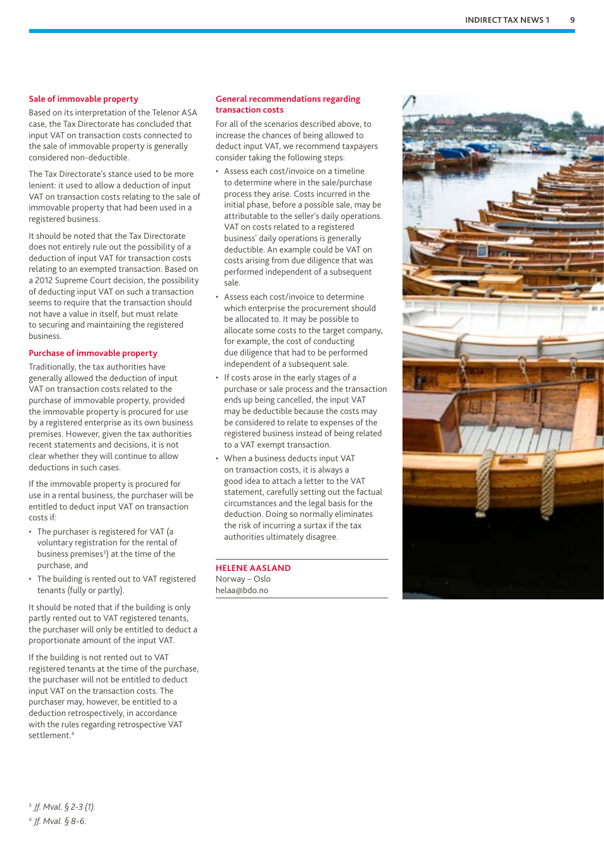#### **Sale of immovable property**

Based on its interpretation of the Telenor ASA case, the Tax Directorate has concluded that input VAT on transaction costs connected to the sale of immovable property is generally considered non-deductible.

The Tax Directorate's stance used to be more lenient: it used to allow a deduction of input VAT on transaction costs relating to the sale of immovable property that had been used in a registered business.

It should be noted that the Tax Directorate does not entirely rule out the possibility of a deduction of input VAT for transaction costs relating to an exempted transaction. Based on a 2012 Supreme Court decision, the possibility of deducting input VAT on such a transaction seems to require that the transaction should not have a value in itself, but must relate to securing and maintaining the registered business.

#### **Purchase of immovable property**

Traditionally, the tax authorities have generally allowed the deduction of input VAT on transaction costs related to the purchase of immovable property, provided the immovable property is procured for use by a registered enterprise as its own business premises. However, given the tax authorities recent statements and decisions, it is not clear whether they will continue to allow deductions in such cases.

If the immovable property is procured for use in a rental business, the purchaser will be entitled to deduct input VAT on transaction costs if:

- The purchaser is registered for VAT (a voluntary registration for the rental of business premises 3 ) at the time of the purchase, and
- The building is rented out to VAT registered tenants (fully or partly).

It should be noted that if the building is only partly rented out to VAT registered tenants, the purchaser will only be entitled to deduct a proportionate amount of the input VAT.

If the building is not rented out to VAT registered tenants at the time of the purchase, the purchaser will not be entitled to deduct input VAT on the transaction costs. The purchaser may, however, be entitled to a deduction retrospectively, in accordance with the rules regarding retrospective VAT settlement. 4

#### **General recommendations regarding transaction costs**

For all of the scenarios described above, to increase the chances of being allowed to deduct input VAT, we recommend taxpayers consider taking the following steps:

- Assess each cost/invoice on a timeline to determine where in the sale/purchase process they arise. Costs incurred in the initial phase, before a possible sale, may be attributable to the seller's daily operations. VAT on costs related to a registered business' daily operations is generally deductible. An example could be VAT on costs arising from due diligence that was performed independent of a subsequent sale.
- Assess each cost/invoice to determine which enterprise the procurement should be allocated to. It may be possible to allocate some costs to the target company, for example, the cost of conducting due diligence that had to be performed independent of a subsequent sale.
- If costs arose in the early stages of a purchase or sale process and the transaction ends up being cancelled, the input VAT may be deductible because the costs may be considered to relate to expenses of the registered business instead of being related to a VAT exempt transaction.
- When a business deducts input VAT on transaction costs, it is always a good idea to attach a letter to the VAT statement, carefully setting out the factual circumstances and the legal basis for the deduction. Doing so normally eliminates the risk of incurring a surtax if the tax authorities ultimately disagree.

**HELENE AASLAND** Norway – Oslo helaa@bdo.no

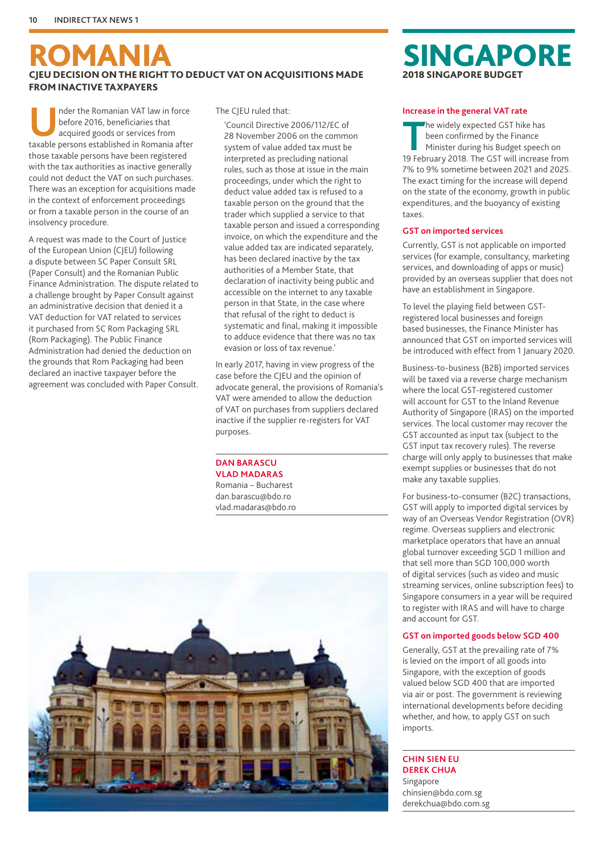## <span id="page-9-0"></span>ROMANIA<br>CJEU DECISION ON THE RIGHT TO DEDUCT VAT ON ACQUISITIONS MADE FROM INACTIVE TAXPAYERS

**U**nder the Romanian VAT law in force before 2016, beneficiaries that acquired goods or services from taxable persons established in Romania after those taxable persons have been registered with the tax authorities as inactive generally could not deduct the VAT on such purchases. There was an exception for acquisitions made in the context of enforcement proceedings or from a taxable person in the course of an insolvency procedure.

A request was made to the Court of Justice of the European Union (CJEU) following a dispute between SC Paper Consult SRL (Paper Consult) and the Romanian Public Finance Administration. The dispute related to a challenge brought by Paper Consult against an administrative decision that denied it a VAT deduction for VAT related to services it purchased from SC Rom Packaging SRL (Rom Packaging). The Public Finance Administration had denied the deduction on the grounds that Rom Packaging had been declared an inactive taxpayer before the agreement was concluded with Paper Consult.

#### The CJEU ruled that:

'Council Directive 2006/112/EC of 28 November 2006 on the common system of value added tax must be interpreted as precluding national rules, such as those at issue in the main proceedings, under which the right to deduct value added tax is refused to a taxable person on the ground that the trader which supplied a service to that taxable person and issued a corresponding invoice, on which the expenditure and the value added tax are indicated separately, has been declared inactive by the tax authorities of a Member State, that declaration of inactivity being public and accessible on the internet to any taxable person in that State, in the case where that refusal of the right to deduct is systematic and final, making it impossible to adduce evidence that there was no tax evasion or loss of tax revenue.'

In early 2017, having in view progress of the case before the CJEU and the opinion of advocate general, the provisions of Romania's VAT were amended to allow the deduction of VAT on purchases from suppliers declared inactive if the supplier re-registers for VAT purposes.

#### **DAN BARASCU VLAD MADARAS**

Romania – Bucharest dan.barascu@bdo.ro vlad.madaras@bdo.ro



#### **Increase in the general VAT rate**

**T**he widely expected GST hike has been confirmed by the Finance Minister during his Budget speech on 19 February 2018. The GST will increase from 7% to 9% sometime between 2021 and 2025. The exact timing for the increase will depend on the state of the economy, growth in public expenditures, and the buoyancy of existing taxes.

#### **GST on imported services**

Currently, GST is not applicable on imported services (for example, consultancy, marketing services, and downloading of apps or music) provided by an overseas supplier that does not have an establishment in Singapore.

To level the playing field between GSTregistered local businesses and foreign based businesses, the Finance Minister has announced that GST on imported services will be introduced with effect from 1 January 2020.

Business-to-business (B2B) imported services will be taxed via a reverse charge mechanism where the local GST-registered customer will account for GST to the Inland Revenue Authority of Singapore (IRAS) on the imported services. The local customer may recover the GST accounted as input tax (subject to the GST input tax recovery rules). The reverse charge will only apply to businesses that make exempt supplies or businesses that do not make any taxable supplies.

For business-to-consumer (B2C) transactions, GST will apply to imported digital services by way of an Overseas Vendor Registration (OVR) regime. Overseas suppliers and electronic marketplace operators that have an annual global turnover exceeding SGD 1 million and that sell more than SGD 100,000 worth of digital services (such as video and music streaming services, online subscription fees) to Singapore consumers in a year will be required to register with IRAS and will have to charge and account for GST.

#### **GST on imported goods below SGD 400**

Generally, GST at the prevailing rate of 7% is levied on the import of all goods into Singapore, with the exception of goods valued below SGD 400 that are imported via air or post. The government is reviewing international developments before deciding whether, and how, to apply GST on such imports.

#### **CHIN SIEN EU**

**DEREK CHUA** Singapore chinsien@bdo.com.sg derekchua@bdo.com.sg

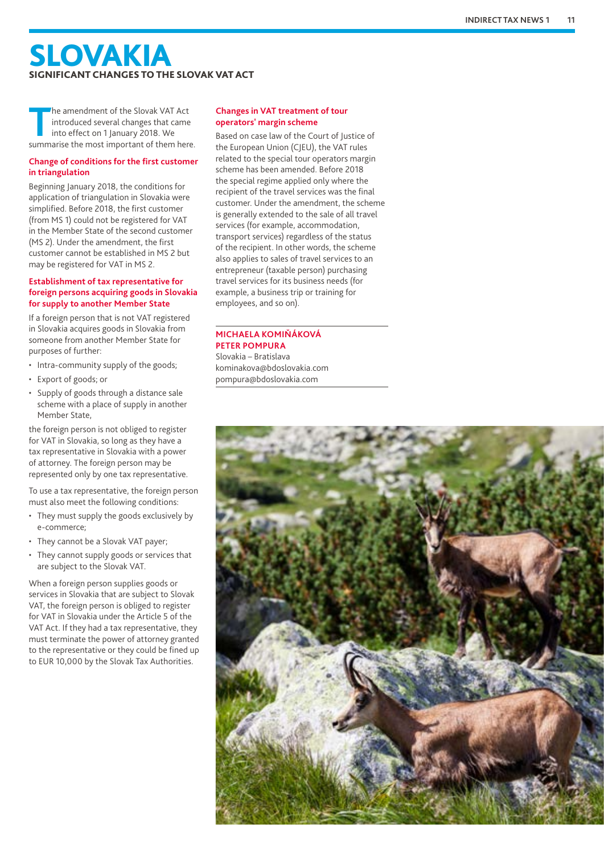## <span id="page-10-0"></span>SLOVAKIA SIGNIFICANT CHANGES TO THE SLOVAK VAT ACT

The amendment of the Slovak VAT Act<br>
introduced several changes that came<br>
into effect on 1 January 2018. We<br>
summarise the most important of them bere introduced several changes that came into effect on 1 January 2018. We summarise the most important of them here.

#### **Change of conditions for the first customer in triangulation**

Beginning January 2018, the conditions for application of triangulation in Slovakia were simplified. Before 2018, the first customer (from MS 1) could not be registered for VAT in the Member State of the second customer (MS 2). Under the amendment, the first customer cannot be established in MS 2 but may be registered for VAT in MS 2.

#### **Establishment of tax representative for foreign persons acquiring goods in Slovakia for supply to another Member State**

If a foreign person that is not VAT registered in Slovakia acquires goods in Slovakia from someone from another Member State for purposes of further:

- Intra-community supply of the goods;
- Export of goods; or
- Supply of goods through a distance sale scheme with a place of supply in another Member State,

the foreign person is not obliged to register for VAT in Slovakia, so long as they have a tax representative in Slovakia with a power of attorney. The foreign person may be represented only by one tax representative.

To use a tax representative, the foreign person must also meet the following conditions:

- They must supply the goods exclusively by e-commerce;
- They cannot be a Slovak VAT payer;
- They cannot supply goods or services that are subject to the Slovak VAT.

When a foreign person supplies goods or services in Slovakia that are subject to Slovak VAT, the foreign person is obliged to register for VAT in Slovakia under the Article 5 of the VAT Act. If they had a tax representative, they must terminate the power of attorney granted to the representative or they could be fined up to EUR 10,000 by the Slovak Tax Authorities.

#### **Changes in VAT treatment of tour operators' margin scheme**

Based on case law of the Court of Justice of the European Union (CJEU), the VAT rules related to the special tour operators margin scheme has been amended. Before 2018 the special regime applied only where the recipient of the travel services was the final customer. Under the amendment, the scheme is generally extended to the sale of all travel services (for example, accommodation, transport services) regardless of the status of the recipient. In other words, the scheme also applies to sales of travel services to an entrepreneur (taxable person) purchasing travel services for its business needs (for example, a business trip or training for employees, and so on).

#### **MICHAELA KOMIŇÁKOVÁ PETER POMPURA**

Slovakia – Bratislava kominakova@bdoslovakia.com pompura@bdoslovakia.com

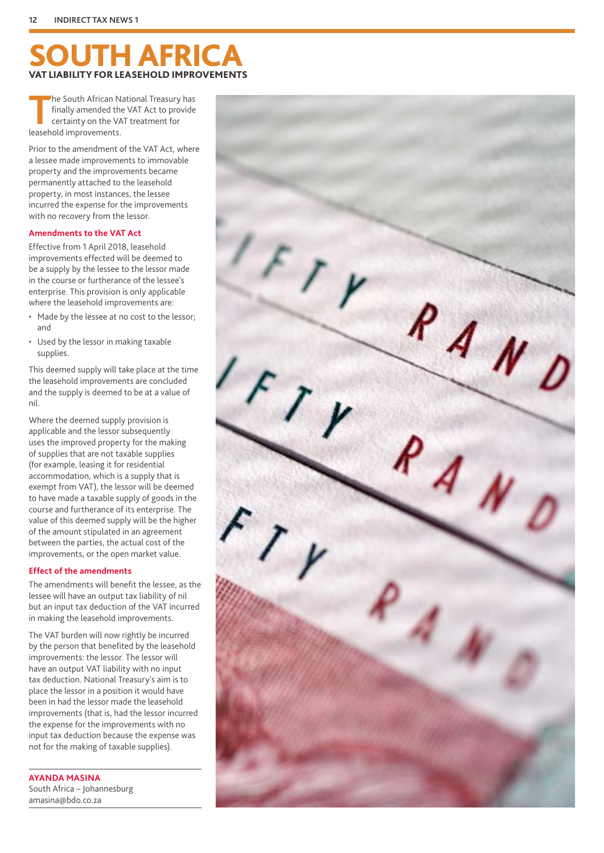## <span id="page-11-0"></span>OUTH AFRICA VAT LIABILITY FOR LEASEHOLD IMPROVEMENTS

The South African National Treasury has<br>
finally amended the VAT Act to provide<br>
certainty on the VAT treatment for<br> **Passehold improvements** finally amended the VAT Act to provide certainty on the VAT treatment for leasehold improvements.

Prior to the amendment of the VAT Act, where a lessee made improvements to immovable property and the improvements became permanently attached to the leasehold property, in most instances, the lessee incurred the expense for the improvements with no recovery from the lessor.

#### **Amendments to the VAT Act**

Effective from 1 April 2018, leasehold improvements effected will be deemed to be a supply by the lessee to the lessor made in the course or furtherance of the lessee's enterprise. This provision is only applicable where the leasehold improvements are:

- Made by the lessee at no cost to the lessor; and
- Used by the lessor in making taxable supplies.

This deemed supply will take place at the time the leasehold improvements are concluded and the supply is deemed to be at a value of nil.

Where the deemed supply provision is applicable and the lessor subsequently uses the improved property for the making of supplies that are not taxable supplies (for example, leasing it for residential accommodation, which is a supply that is exempt from VAT), the lessor will be deemed to have made a taxable supply of goods in the course and furtherance of its enterprise. The value of this deemed supply will be the higher of the amount stipulated in an agreement between the parties, the actual cost of the improvements, or the open market value.

#### **Effect of the amendments**

The amendments will benefit the lessee, as the lessee will have an output tax liability of nil but an input tax deduction of the VAT incurred in making the leasehold improvements.

The VAT burden will now rightly be incurred by the person that benefited by the leasehold improvements: the lessor. The lessor will have an output VAT liability with no input tax deduction. National Treasury's aim is to place the lessor in a position it would have been in had the lessor made the leasehold improvements (that is, had the lessor incurred the expense for the improvements with no input tax deduction because the expense was not for the making of taxable supplies).

**AYANDA MASINA** South Africa – Johannesburg amasina@bdo.co.za

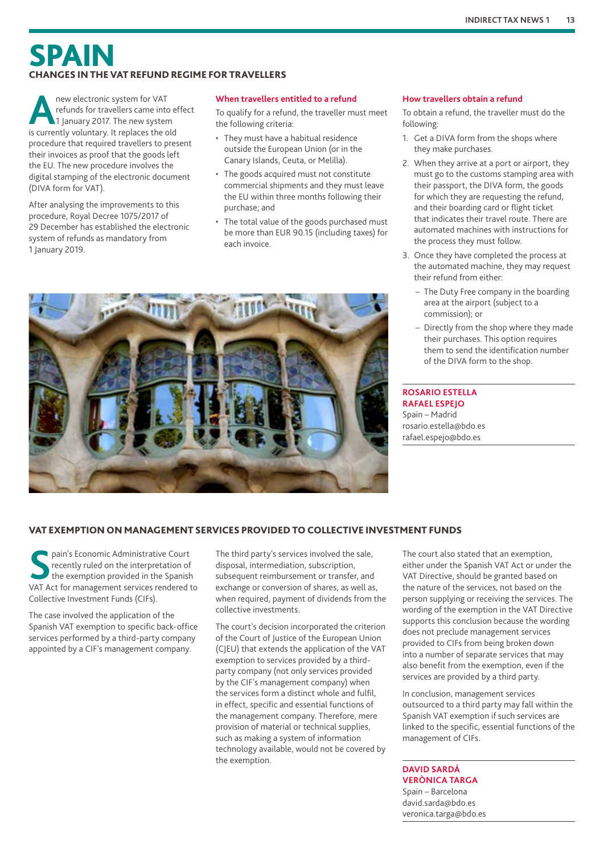## <span id="page-12-0"></span>SPAIN CHANGES IN THE VAT REFUND REGIME FOR TRAVELLERS

**A** new electronic system for VAT<br>refunds for travellers came into<br>1 January 2017. The new system<br>is currently voluntary. It replaces the o refunds for travellers came into effect 1 January 2017. The new system is currently voluntary. It replaces the old procedure that required travellers to present their invoices as proof that the goods left the EU. The new procedure involves the digital stamping of the electronic document (DIVA form for VAT).

After analysing the improvements to this procedure, Royal Decree 1075/2017 of 29 December has established the electronic system of refunds as mandatory from 1 January 2019.

#### **When travellers entitled to a refund**

To qualify for a refund, the traveller must meet the following criteria:

- They must have a habitual residence outside the European Union (or in the Canary Islands, Ceuta, or Melilla).
- The goods acquired must not constitute commercial shipments and they must leave the EU within three months following their purchase; and
- The total value of the goods purchased must be more than EUR 90.15 (including taxes) for each invoice.



#### **How travellers obtain a refund**

To obtain a refund, the traveller must do the following:

- 1. Get a DIVA form from the shops where they make purchases.
- 2. When they arrive at a port or airport, they must go to the customs stamping area with their passport, the DIVA form, the goods for which they are requesting the refund, and their boarding card or flight ticket that indicates their travel route. There are automated machines with instructions for the process they must follow.
- 3. Once they have completed the process at the automated machine, they may request their refund from either:
	- The Duty Free company in the boarding area at the airport (subject to a commission); or
	- Directly from the shop where they made their purchases. This option requires them to send the identification number of the DIVA form to the shop.

#### **ROSARIO ESTELLA RAFAEL ESPEJO**

Spain – Madrid rosario.estella@bdo.es rafael.espejo@bdo.es

#### VAT EXEMPTION ON MANAGEMENT SERVICES PROVIDED TO COLLECTIVE INVESTMENT FUNDS

**S**pain's Economic Administrative Court recently ruled on the interpretation of the exemption provided in the Spanish VAT Act for management services rendered to Collective Investment Funds (CIFs).

The case involved the application of the Spanish VAT exemption to specific back-office services performed by a third-party company appointed by a CIF's management company.

The third party's services involved the sale, disposal, intermediation, subscription, subsequent reimbursement or transfer, and exchange or conversion of shares, as well as, when required, payment of dividends from the collective investments.

The court's decision incorporated the criterion of the Court of Justice of the European Union (CJEU) that extends the application of the VAT exemption to services provided by a thirdparty company (not only services provided by the CIF's management company) when the services form a distinct whole and fulfil, in effect, specific and essential functions of the management company. Therefore, mere provision of material or technical supplies, such as making a system of information technology available, would not be covered by the exemption.

The court also stated that an exemption, either under the Spanish VAT Act or under the VAT Directive, should be granted based on the nature of the services, not based on the person supplying or receiving the services. The wording of the exemption in the VAT Directive supports this conclusion because the wording does not preclude management services provided to CIFs from being broken down into a number of separate services that may also benefit from the exemption, even if the services are provided by a third party.

In conclusion, management services outsourced to a third party may fall within the Spanish VAT exemption if such services are linked to the specific, essential functions of the management of CIFs.

**DAVID SARDÁ VERÒNICA TARGA** Spain – Barcelona david.sarda@bdo.es veronica.targa@bdo.es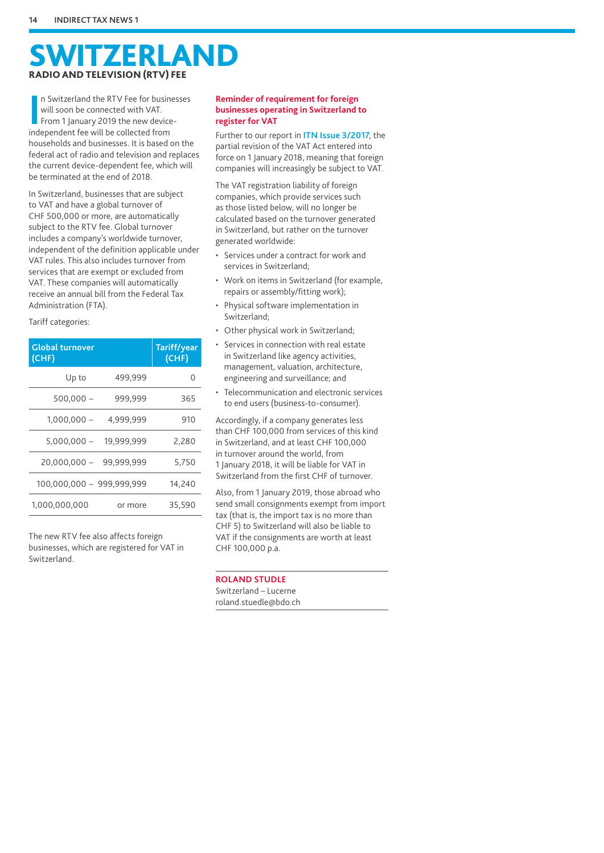## <span id="page-13-0"></span>SWITZERLAND RADIO AND TELEVISION (RTV) FEE

In Switzerland the RTV Fee for busin will soon be connected with VAT.<br>From 1 January 2019 the new device independent fee will be collected from n Switzerland the RTV Fee for businesses will soon be connected with VAT. From 1 January 2019 the new devicehouseholds and businesses. It is based on the federal act of radio and television and replaces the current device-dependent fee, which will be terminated at the end of 2018.

In Switzerland, businesses that are subject to VAT and have a global turnover of CHF 500,000 or more, are automatically subject to the RTV fee. Global turnover includes a company's worldwide turnover, independent of the definition applicable under VAT rules. This also includes turnover from services that are exempt or excluded from VAT. These companies will automatically receive an annual bill from the Federal Tax Administration (FTA).

#### Tariff categories:

| <b>Global turnover</b><br>(CHF) |            | <b>Tariff/year</b><br>(CHF) |
|---------------------------------|------------|-----------------------------|
| Up to                           | 499,999    | $\left( \right)$            |
| $500,000 -$                     | 999,999    | 365                         |
| $1,000,000 -$                   | 4,999,999  | 910                         |
| $5.000.000 -$                   | 19.999.999 | 2.280                       |
| $20,000,000 -$                  | 99,999,999 | 5,750                       |
| 100,000,000 - 999,999,999       |            | 14,240                      |
| 1,000,000,000                   | or more    | 35,590                      |

The new RTV fee also affects foreign businesses, which are registered for VAT in Switzerland.

#### **Reminder of requirement for foreign businesses operating in Switzerland to register for VAT**

Further to our report in **ITN Issue [3/2017](https://www.bdo.global/en-gb/insights/tax/indirect-tax/indirect-tax-news-issue-3-2017)**, the partial revision of the VAT Act entered into force on 1 January 2018, meaning that foreign companies will increasingly be subject to VAT.

The VAT registration liability of foreign companies, which provide services such as those listed below, will no longer be calculated based on the turnover generated in Switzerland, but rather on the turnover generated worldwide:

- Services under a contract for work and services in Switzerland;
- Work on items in Switzerland (for example, repairs or assembly/fitting work);
- Physical software implementation in Switzerland;
- Other physical work in Switzerland;
- Services in connection with real estate in Switzerland like agency activities, management, valuation, architecture, engineering and surveillance; and
- Telecommunication and electronic services to end users (business-to-consumer).

Accordingly, if a company generates less than CHF 100,000 from services of this kind in Switzerland, and at least CHF 100,000 in turnover around the world, from 1 January 2018, it will be liable for VAT in Switzerland from the first CHF of turnover.

Also, from 1 January 2019, those abroad who send small consignments exempt from import tax (that is, the import tax is no more than CHF 5) to Switzerland will also be liable to VAT if the consignments are worth at least CHF 100,000 p.a.

**ROLAND STUDLE**

Switzerland – Lucerne roland.stuedle@bdo.ch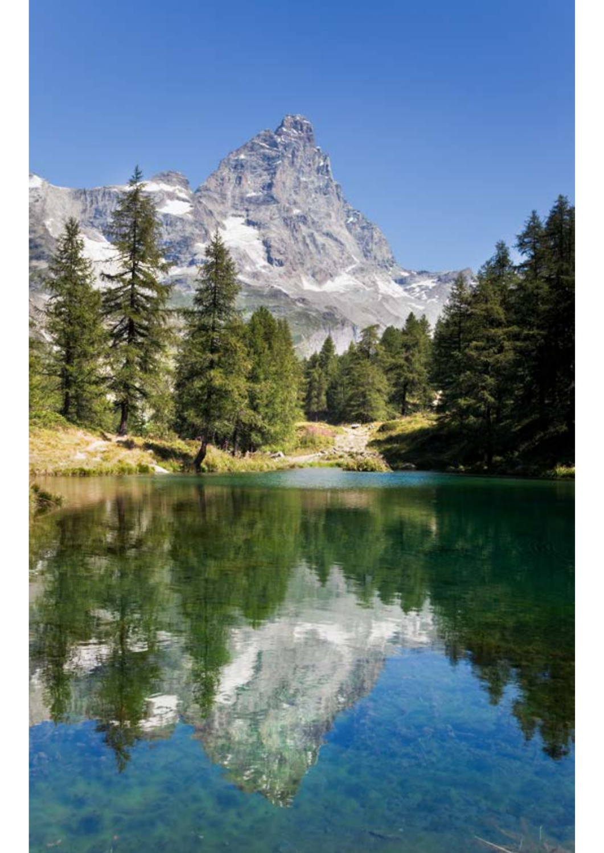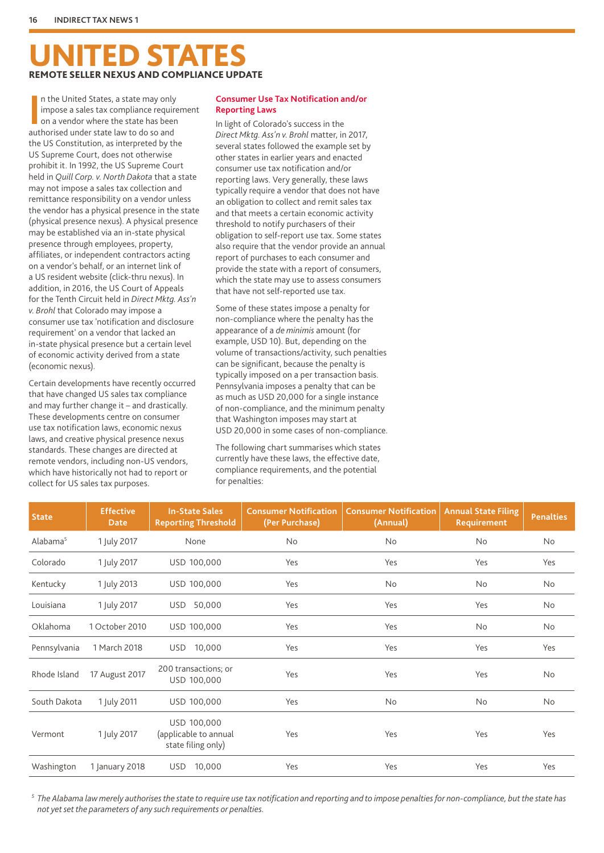## <span id="page-15-0"></span>UNITED STATES REMOTE SELLER NEXUS AND COMPLIANCE UPDATE

In the United States, a state may only impose a sales tax compliance requiron a vendor where the state has been authorised under state law to do so and n the United States, a state may only impose a sales tax compliance requirement on a vendor where the state has been the US Constitution, as interpreted by the US Supreme Court, does not otherwise prohibit it. In 1992, the US Supreme Court held in *Quill Corp. v. North Dakota* that a state may not impose a sales tax collection and remittance responsibility on a vendor unless the vendor has a physical presence in the state (physical presence nexus). A physical presence may be established via an in-state physical presence through employees, property, affiliates, or independent contractors acting on a vendor's behalf, or an internet link of a US resident website (click-thru nexus). In addition, in 2016, the US Court of Appeals for the Tenth Circuit held in *Direct Mktg. Ass'n v. Brohl* that Colorado may impose a consumer use tax 'notification and disclosure requirement' on a vendor that lacked an in-state physical presence but a certain level of economic activity derived from a state (economic nexus).

Certain developments have recently occurred that have changed US sales tax compliance and may further change it – and drastically. These developments centre on consumer use tax notification laws, economic nexus laws, and creative physical presence nexus standards. These changes are directed at remote vendors, including non-US vendors, which have historically not had to report or collect for US sales tax purposes.

#### **Consumer Use Tax Notification and/or Reporting Laws**

In light of Colorado's success in the *Direct Mktg. Ass'n v. Brohl* matter, in 2017, several states followed the example set by other states in earlier years and enacted consumer use tax notification and/or reporting laws. Very generally, these laws typically require a vendor that does not have an obligation to collect and remit sales tax and that meets a certain economic activity threshold to notify purchasers of their obligation to self-report use tax. Some states also require that the vendor provide an annual report of purchases to each consumer and provide the state with a report of consumers, which the state may use to assess consumers that have not self-reported use tax.

Some of these states impose a penalty for non-compliance where the penalty has the appearance of a *de minimis* amount (for example, USD 10). But, depending on the volume of transactions/activity, such penalties can be significant, because the penalty is typically imposed on a per transaction basis. Pennsylvania imposes a penalty that can be as much as USD 20,000 for a single instance of non-compliance, and the minimum penalty that Washington imposes may start at USD 20,000 in some cases of non-compliance.

The following chart summarises which states currently have these laws, the effective date, compliance requirements, and the potential for penalties:

| <b>State</b>         | <b>Effective</b><br><b>Date</b> | <b>In-State Sales</b><br><b>Reporting Threshold</b>        | <b>Consumer Notification</b><br>(Per Purchase) | <b>Consumer Notification</b><br>(Annual) | <b>Annual State Filing</b><br><b>Requirement</b> | <b>Penalties</b> |
|----------------------|---------------------------------|------------------------------------------------------------|------------------------------------------------|------------------------------------------|--------------------------------------------------|------------------|
| Alabama <sup>5</sup> | 1 July 2017                     | None                                                       | No                                             | <b>No</b>                                | <b>No</b>                                        | No               |
| Colorado             | 1 July 2017                     | USD 100,000                                                | Yes                                            | Yes                                      | Yes                                              | Yes              |
| Kentucky             | 1 July 2013                     | USD 100,000                                                | Yes                                            | No                                       | <b>No</b>                                        | No               |
| Louisiana            | 1 July 2017                     | USD<br>50,000                                              | Yes                                            | Yes                                      | Yes                                              | No               |
| Oklahoma             | 1 October 2010                  | USD 100,000                                                | Yes                                            | Yes                                      | No                                               | No               |
| Pennsylvania         | 1 March 2018                    | 10,000<br><b>USD</b>                                       | Yes                                            | Yes                                      | Yes                                              | Yes              |
| Rhode Island         | 17 August 2017                  | 200 transactions; or<br>USD 100,000                        | Yes                                            | Yes                                      | Yes                                              | No               |
| South Dakota         | 1 July 2011                     | USD 100,000                                                | Yes                                            | No                                       | No                                               | No               |
| Vermont              | 1 July 2017                     | USD 100,000<br>(applicable to annual<br>state filing only) | Yes                                            | Yes                                      | Yes                                              | Yes              |
| Washington           | 1 January 2018                  | <b>USD</b><br>10,000                                       | Yes                                            | Yes                                      | Yes                                              | Yes              |

*<sup>5</sup> The Alabama law merely authorises the state to require use tax notification and reporting and to impose penalties for non-compliance, but the state has not yet set the parameters of any such requirements or penalties.*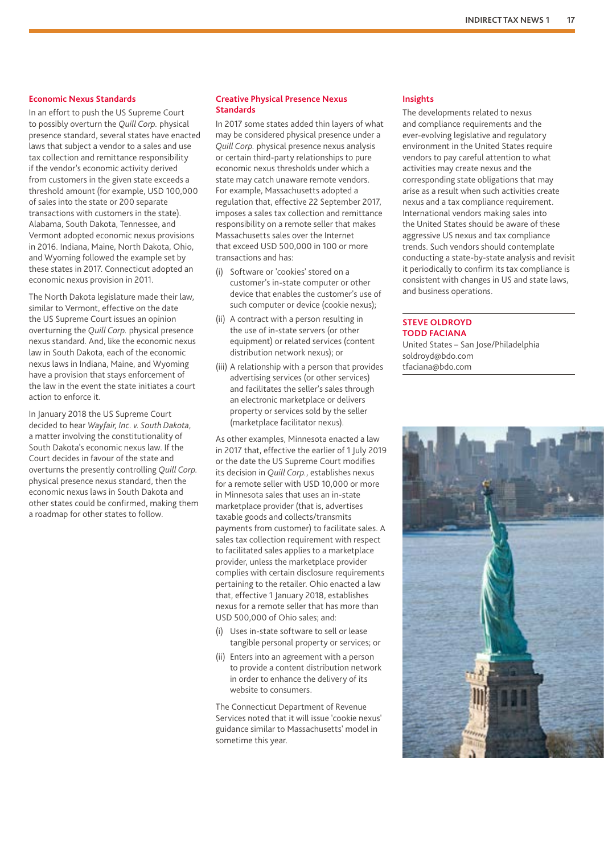#### **Economic Nexus Standards**

In an effort to push the US Supreme Court to possibly overturn the *Quill Corp.* physical presence standard, several states have enacted laws that subject a vendor to a sales and use tax collection and remittance responsibility if the vendor's economic activity derived from customers in the given state exceeds a threshold amount (for example, USD 100,000 of sales into the state or 200 separate transactions with customers in the state). Alabama, South Dakota, Tennessee, and Vermont adopted economic nexus provisions in 2016. Indiana, Maine, North Dakota, Ohio, and Wyoming followed the example set by these states in 2017. Connecticut adopted an economic nexus provision in 2011.

The North Dakota legislature made their law, similar to Vermont, effective on the date the US Supreme Court issues an opinion overturning the *Quill Corp.* physical presence nexus standard. And, like the economic nexus law in South Dakota, each of the economic nexus laws in Indiana, Maine, and Wyoming have a provision that stays enforcement of the law in the event the state initiates a court action to enforce it.

In January 2018 the US Supreme Court decided to hear *Wayfair, Inc. v. South Dakota*, a matter involving the constitutionality of South Dakota's economic nexus law. If the Court decides in favour of the state and overturns the presently controlling *Quill Corp.* physical presence nexus standard, then the economic nexus laws in South Dakota and other states could be confirmed, making them a roadmap for other states to follow.

#### **Creative Physical Presence Nexus Standards**

In 2017 some states added thin layers of what may be considered physical presence under a *Quill Corp.* physical presence nexus analysis or certain third-party relationships to pure economic nexus thresholds under which a state may catch unaware remote vendors. For example, Massachusetts adopted a regulation that, effective 22 September 2017, imposes a sales tax collection and remittance responsibility on a remote seller that makes Massachusetts sales over the Internet that exceed USD 500,000 in 100 or more transactions and has:

- (i) Software or 'cookies' stored on a customer's in-state computer or other device that enables the customer's use of such computer or device (cookie nexus);
- (ii) A contract with a person resulting in the use of in-state servers (or other equipment) or related services (content distribution network nexus); or
- (iii) A relationship with a person that provides advertising services (or other services) and facilitates the seller's sales through an electronic marketplace or delivers property or services sold by the seller (marketplace facilitator nexus).

As other examples, Minnesota enacted a law in 2017 that, effective the earlier of 1 July 2019 or the date the US Supreme Court modifies its decision in *Quill Corp.*, establishes nexus for a remote seller with USD 10,000 or more in Minnesota sales that uses an in-state marketplace provider (that is, advertises taxable goods and collects/transmits payments from customer) to facilitate sales. A sales tax collection requirement with respect to facilitated sales applies to a marketplace provider, unless the marketplace provider complies with certain disclosure requirements pertaining to the retailer. Ohio enacted a law that, effective 1 January 2018, establishes nexus for a remote seller that has more than USD 500,000 of Ohio sales; and:

- (i) Uses in-state software to sell or lease tangible personal property or services; or
- (ii) Enters into an agreement with a person to provide a content distribution network in order to enhance the delivery of its website to consumers.

The Connecticut Department of Revenue Services noted that it will issue 'cookie nexus' guidance similar to Massachusetts' model in sometime this year.

#### **Insights**

The developments related to nexus and compliance requirements and the ever-evolving legislative and regulatory environment in the United States require vendors to pay careful attention to what activities may create nexus and the corresponding state obligations that may arise as a result when such activities create nexus and a tax compliance requirement. International vendors making sales into the United States should be aware of these aggressive US nexus and tax compliance trends. Such vendors should contemplate conducting a state-by-state analysis and revisit it periodically to confirm its tax compliance is consistent with changes in US and state laws, and business operations.

#### **STEVE OLDROYD TODD FACIANA**

United States – San Jose/Philadelphia soldroyd@bdo.com tfaciana@bdo.com